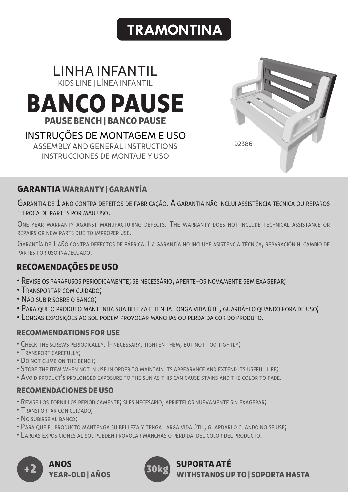# **TRAMONTINA**

## KIDS LINE | LÍNEA INFANTIL BANCO PAUSE PAUSE BENCH | BANCO PAUSE INSTRUÇÕES DE MONTAGEM E USO ASSEMBLY AND GENERAL INSTRUCTIONS INSTRUCCIONES DE MONTAJE Y USO

LINHA INFANTIL



### GARANTIA WARRANTY | GARANTÍA

GARANTIA DE 1 ANO CONTRA DEFEITOS DE FABRICAÇÃO. A GARANTIA NÃO INCLUI ASSISTÊNCIA TÉCNICA OU REPAROS E TROCA DE PARTES POR MAU USO.

ONE YEAR WARRANTY AGAINST MANUFACTURING DEFECTS. THE WARRANTY DOES NOT INCLUDE TECHNICAL ASSISTANCE OR REPAIRS OR NEW PARTS DUE TO IMPROPER USE.

GARANTÍA DE 1 AÑO CONTRA DEFECTOS DE FÁBRICA. LA GARANTÍA NO INCLUYE ASISTENCIA TÉCNICA, REPARACIÓN NI CAMBIO DE PARTES POR USO INADECUADO.

## RECOMENDAÇÕES DE USO

- REVISE OS PARAFUSOS PERIODICAMENTE; SE NECESSÁRIO, APERTE-OS NOVAMENTE SEM EXAGERAR;
- TRANSPORTAR COM CUIDADO;
- NÃO SUBIR SOBRE <sup>O</sup> BANCO;
- PARA QUE <sup>O</sup> PRODUTO MANTENHA SUA BELEZA <sup>E</sup> TENHA LONGA VIDA ÚTIL, GUARDÁ-LO QUANDO FORA DE USO;
- LONGAS EXPOSIÇÕES AO SOL PODEM PROVOCAR MANCHAS OU PERDA DA COR DO PRODUTO.

#### RECOMMENDATIONS FOR USE

- CHECK THE SCREWS PERIODICALLY. IF NECESSARY, TIGHTEN THEM, BUT NOT TOO TIGHTLY;
- TRANSPORT CAREFULLY;
- DO NOT CLIMB ON THE BENCH;
- STORE THE ITEM WHEN NOT IN USE IN ORDER TO MAINTAIN ITS APPEARANCE AND EXTEND ITS USEFUL LIFE;
- AVOID PRODUCT'S PROLONGED EXPOSURE TO THE SUN AS THIS CAN CAUSE STAINS AND THE COLOR TO FADE.

#### RECOMENDACIONES DE USO

- REVISE LOS TORNILLOS PERIÓDICAMENTE; SI ES NECESARIO, APRIÉTELOS NUEVAMENTE SIN EXAGERAR;
- TRANSPORTAR CON CUIDADO;
- NO SUBIRSE AL BANCO;
- PARA QUE EL PRODUCTO MANTENGA SU BELLEZA <sup>Y</sup> TENGA LARGA VIDA ÚTIL, GUARDARLO CUANDO NO SE USE;
- LARGAS EXPOSICIONES AL SOL PUEDEN PROVOCAR MANCHAS <sup>O</sup> PÉRDIDA DEL COLOR DEL PRODUCTO.







SUPORTA ATÉ **INSTANDS UP TO I SOPORTA HASTA**